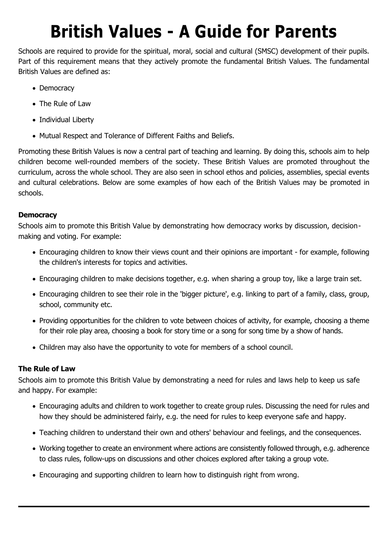# **British Values - A Guide for Parents**

Schools are required to provide for the spiritual, moral, social and cultural (SMSC) development of their pupils. Part of this requirement means that they actively promote the fundamental British Values. The fundamental British Values are defined as:

- Democracy
- The Rule of Law
- Individual Liberty
- Mutual Respect and Tolerance of Different Faiths and Beliefs.

Promoting these British Values is now a central part of teaching and learning. By doing this, schools aim to help children become well-rounded members of the society. These British Values are promoted throughout the curriculum, across the whole school. They are also seen in school ethos and policies, assemblies, special events and cultural celebrations. Below are some examples of how each of the British Values may be promoted in schools.

### **Democracy**

Schools aim to promote this British Value by demonstrating how democracy works by discussion, decisionmaking and voting. For example:

- Encouraging children to know their views count and their opinions are important for example, following the children's interests for topics and activities.
- Encouraging children to make decisions together, e.g. when sharing a group toy, like a large train set.
- Encouraging children to see their role in the 'bigger picture', e.g. linking to part of a family, class, group, school, community etc.
- Providing opportunities for the children to vote between choices of activity, for example, choosing a theme for their role play area, choosing a book for story time or a song for song time by a show of hands.
- Children may also have the opportunity to vote for members of a school council.

### **The Rule of Law**

Schools aim to promote this British Value by demonstrating a need for rules and laws help to keep us safe and happy. For example:

- Encouraging adults and children to work together to create group rules. Discussing the need for rules and how they should be administered fairly, e.g. the need for rules to keep everyone safe and happy.
- Teaching children to understand their own and others' behaviour and feelings, and the consequences.
- Working together to create an environment where actions are consistently followed through, e.g. adherence to class rules, follow-ups on discussions and other choices explored after taking a group vote.
- Encouraging and supporting children to learn how to distinguish right from wrong.